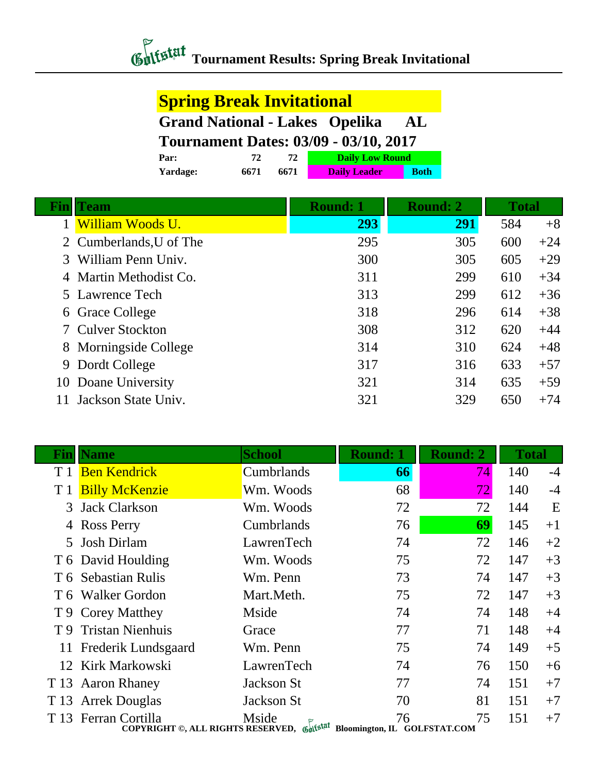# *Chilistat* Tournament Results: Spring Break Invitational

#### **Spring Break Invitational**

**Grand National - Lakes Opelika AL**

**Tournament Dates: 03/09 - 03/10, 2017**

| <b>Par:</b> | 72   |      | <b>Daily Low Round</b> |             |
|-------------|------|------|------------------------|-------------|
| Yardage:    | 6671 | 6671 | <b>Daily Leader</b>    | <b>Both</b> |

|   | Team                    | <b>Round: 1</b> | <b>Round: 2</b> | <b>Total</b> |       |
|---|-------------------------|-----------------|-----------------|--------------|-------|
|   | William Woods U.        | 293             | <b>291</b>      | 584          | $+8$  |
|   | 2 Cumberlands, U of The | 295             | 305             | 600          | $+24$ |
|   | William Penn Univ.      | 300             | 305             | 605          | $+29$ |
|   | 4 Martin Methodist Co.  | 311             | 299             | 610          | $+34$ |
|   | 5 Lawrence Tech         | 313             | 299             | 612          | $+36$ |
|   | 6 Grace College         | 318             | 296             | 614          | $+38$ |
|   | <b>Culver Stockton</b>  | 308             | 312             | 620          | $+44$ |
|   | 8 Morningside College   | 314             | 310             | 624          | $+48$ |
| 9 | Dordt College           | 317             | 316             | 633          | $+57$ |
|   | 10 Doane University     | 321             | 314             | 635          | $+59$ |
|   | Jackson State Univ.     | 321             | 329             | 650          | $+74$ |

| Fin            | <b>Name</b>                                                                                     | <b>School</b> | <b>Round: 1</b> | <b>Round: 2</b> | <b>Total</b> |      |
|----------------|-------------------------------------------------------------------------------------------------|---------------|-----------------|-----------------|--------------|------|
| T <sub>1</sub> | <b>Ben Kendrick</b>                                                                             | Cumbrlands    | 66              | 74              | 140          | $-4$ |
| T <sub>1</sub> | <b>Billy McKenzie</b>                                                                           | Wm. Woods     | 68              | 72              | 140          | $-4$ |
| 3              | <b>Jack Clarkson</b>                                                                            | Wm. Woods     | 72              | 72              | 144          | E    |
| 4              | <b>Ross Perry</b>                                                                               | Cumbrlands    | 76              | 69              | 145          | $+1$ |
|                | 5 Josh Dirlam                                                                                   | LawrenTech    | 74              | 72              | 146          | $+2$ |
|                | T 6 David Houlding                                                                              | Wm. Woods     | 75              | 72              | 147          | $+3$ |
|                | T 6 Sebastian Rulis                                                                             | Wm. Penn      | 73              | 74              | 147          | $+3$ |
|                | T 6 Walker Gordon                                                                               | Mart.Meth.    | 75              | 72              | 147          | $+3$ |
|                | T 9 Corey Matthey                                                                               | Mside         | 74              | 74              | 148          | $+4$ |
| T 9            | <b>Tristan Nienhuis</b>                                                                         | Grace         | 77              | 71              | 148          | $+4$ |
|                | 11 Frederik Lundsgaard                                                                          | Wm. Penn      | 75              | 74              | 149          | $+5$ |
|                | 12 Kirk Markowski                                                                               | LawrenTech    | 74              | 76              | 150          | $+6$ |
| T 13           | <b>Aaron Rhaney</b>                                                                             | Jackson St    | 77              | 74              | 151          | $+7$ |
| T 13           | <b>Arrek Douglas</b>                                                                            | Jackson St    | 70              | 81              | 151          | $+7$ |
|                | T 13 Ferran Cortilla<br>COPYRIGHT ©, ALL RIGHTS RESERVED, Gulfstat Bloomington, IL GOLFSTAT.COM | Mside         | 76              | 75              | 151          | $+7$ |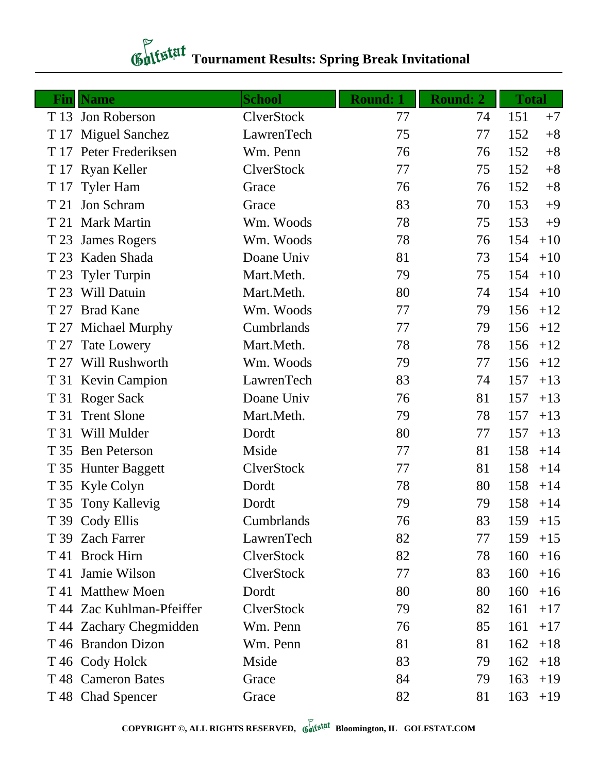## *Chitstat* Tournament Results: Spring Break Invitational

| Finl | <b>Name</b>               | <b>School</b> | <b>Round: 1</b> | <b>Round: 2</b> | <b>Total</b> |
|------|---------------------------|---------------|-----------------|-----------------|--------------|
|      | T 13 Jon Roberson         | ClverStock    | 77              | 74              | 151<br>$+7$  |
| T 17 | <b>Miguel Sanchez</b>     | LawrenTech    | 75              | 77              | 152<br>$+8$  |
|      | T 17 Peter Frederiksen    | Wm. Penn      | 76              | 76              | 152<br>$+8$  |
| T 17 | <b>Ryan Keller</b>        | ClverStock    | 77              | 75              | 152<br>$+8$  |
| T 17 | <b>Tyler Ham</b>          | Grace         | 76              | 76              | 152<br>$+8$  |
| T 21 | Jon Schram                | Grace         | 83              | 70              | 153<br>$+9$  |
|      | T 21 Mark Martin          | Wm. Woods     | 78              | 75              | 153<br>$+9$  |
| T 23 | <b>James Rogers</b>       | Wm. Woods     | 78              | 76              | 154<br>$+10$ |
| T 23 | Kaden Shada               | Doane Univ    | 81              | 73              | 154<br>$+10$ |
|      | T 23 Tyler Turpin         | Mart.Meth.    | 79              | 75              | 154<br>$+10$ |
| T 23 | Will Datuin               | Mart.Meth.    | 80              | 74              | 154<br>$+10$ |
| T 27 | <b>Brad Kane</b>          | Wm. Woods     | 77              | 79              | 156<br>$+12$ |
| T 27 | <b>Michael Murphy</b>     | Cumbrlands    | 77              | 79              | 156<br>$+12$ |
| T 27 | <b>Tate Lowery</b>        | Mart.Meth.    | 78              | 78              | 156<br>$+12$ |
|      | T 27 Will Rushworth       | Wm. Woods     | 79              | 77              | 156<br>$+12$ |
|      | T 31 Kevin Campion        | LawrenTech    | 83              | 74              | 157<br>$+13$ |
|      | T 31 Roger Sack           | Doane Univ    | 76              | 81              | 157<br>$+13$ |
| T 31 | <b>Trent Slone</b>        | Mart.Meth.    | 79              | 78              | 157<br>$+13$ |
|      | T 31 Will Mulder          | Dordt         | 80              | 77              | 157<br>$+13$ |
|      | T 35 Ben Peterson         | Mside         | 77              | 81              | 158<br>$+14$ |
|      | T 35 Hunter Baggett       | ClverStock    | 77              | 81              | 158<br>$+14$ |
|      | T 35 Kyle Colyn           | Dordt         | 78              | 80              | 158<br>$+14$ |
|      | T 35 Tony Kallevig        | Dordt         | 79              | 79              | 158<br>$+14$ |
|      | T 39 Cody Ellis           | Cumbrlands    | 76              | 83              | 159<br>$+15$ |
|      | T 39 Zach Farrer          | LawrenTech    | 82              | 77              | 159<br>$+15$ |
|      | T 41 Brock Hirn           | ClverStock    | 82              | 78              | 160<br>$+16$ |
|      | T 41 Jamie Wilson         | ClverStock    | 77              | 83              | 160<br>$+16$ |
|      | T 41 Matthew Moen         | Dordt         | 80              | 80              | 160<br>$+16$ |
|      | T 44 Zac Kuhlman-Pfeiffer | ClverStock    | 79              | 82              | 161<br>$+17$ |
|      | T 44 Zachary Chegmidden   | Wm. Penn      | 76              | 85              | 161<br>$+17$ |
|      | T 46 Brandon Dizon        | Wm. Penn      | 81              | 81              | 162<br>$+18$ |
|      | T 46 Cody Holck           | Mside         | 83              | 79              | 162<br>$+18$ |
|      | T 48 Cameron Bates        | Grace         | 84              | 79              | 163<br>$+19$ |
|      | T 48 Chad Spencer         | Grace         | 82              | 81              | 163<br>$+19$ |